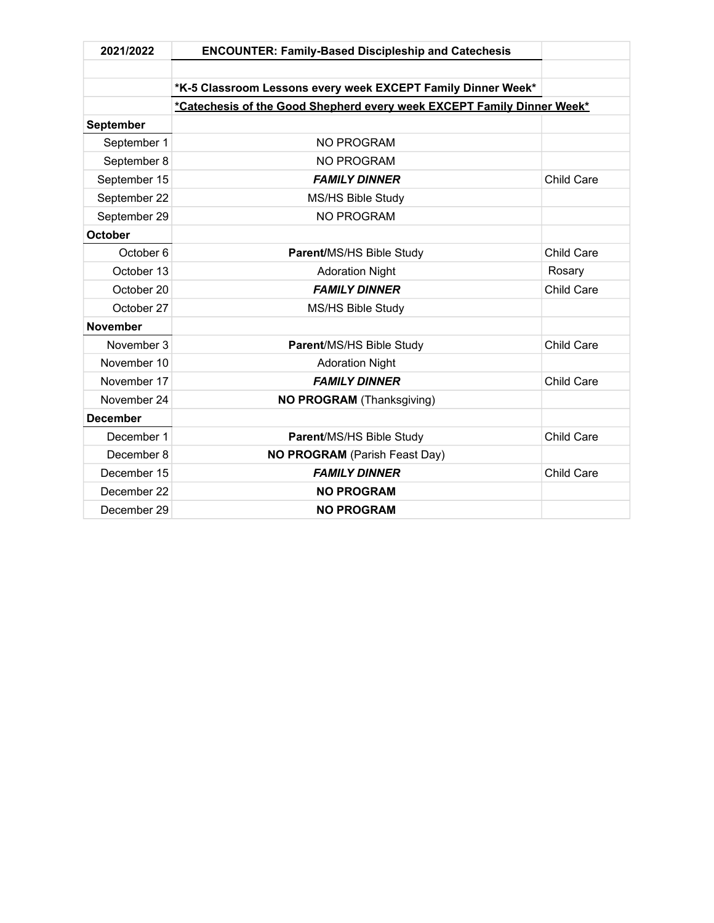| 2021/2022       | <b>ENCOUNTER: Family-Based Discipleship and Catechesis</b>             |                   |
|-----------------|------------------------------------------------------------------------|-------------------|
|                 |                                                                        |                   |
|                 | *K-5 Classroom Lessons every week EXCEPT Family Dinner Week*           |                   |
|                 | *Catechesis of the Good Shepherd every week EXCEPT Family Dinner Week* |                   |
| September       |                                                                        |                   |
| September 1     | NO PROGRAM                                                             |                   |
| September 8     | <b>NO PROGRAM</b>                                                      |                   |
| September 15    | <b>FAMILY DINNER</b>                                                   | Child Care        |
| September 22    | MS/HS Bible Study                                                      |                   |
| September 29    | <b>NO PROGRAM</b>                                                      |                   |
| <b>October</b>  |                                                                        |                   |
| October 6       | Parent/MS/HS Bible Study                                               | <b>Child Care</b> |
| October 13      | <b>Adoration Night</b>                                                 | Rosary            |
| October 20      | <b>FAMILY DINNER</b>                                                   | Child Care        |
| October 27      | MS/HS Bible Study                                                      |                   |
| <b>November</b> |                                                                        |                   |
| November 3      | Parent/MS/HS Bible Study                                               | <b>Child Care</b> |
| November 10     | <b>Adoration Night</b>                                                 |                   |
| November 17     | <b>FAMILY DINNER</b>                                                   | <b>Child Care</b> |
| November 24     | <b>NO PROGRAM (Thanksgiving)</b>                                       |                   |
| <b>December</b> |                                                                        |                   |
| December 1      | Parent/MS/HS Bible Study                                               | Child Care        |
| December 8      | NO PROGRAM (Parish Feast Day)                                          |                   |
| December 15     | <b>FAMILY DINNER</b>                                                   | Child Care        |
| December 22     | <b>NO PROGRAM</b>                                                      |                   |
| December 29     | <b>NO PROGRAM</b>                                                      |                   |